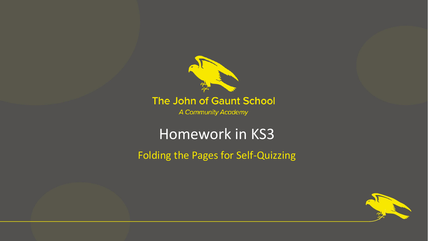

#### The John of Gaunt School

A Community Academy

# Homework in KS3

Folding the Pages for Self-Quizzing

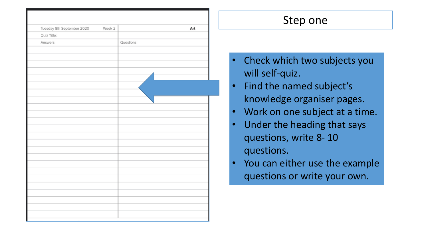| Tuesday 8th September 2020 | Week 2 |           | Art |
|----------------------------|--------|-----------|-----|
| Quiz Title:                |        |           |     |
| Answers                    |        | Questions |     |
|                            |        |           |     |
|                            |        |           |     |
|                            |        |           |     |
|                            |        |           |     |
|                            |        |           |     |
|                            |        |           |     |
|                            |        |           |     |
|                            |        |           |     |
|                            |        |           |     |
|                            |        |           |     |
|                            |        |           |     |
|                            |        |           |     |
|                            |        |           |     |
|                            |        |           |     |
|                            |        |           |     |
|                            |        |           |     |
|                            |        |           |     |
|                            |        |           |     |
|                            |        |           |     |
|                            |        |           |     |
|                            |        |           |     |
|                            |        |           |     |
|                            |        |           |     |
|                            |        |           |     |
|                            |        |           |     |

- Check which two subjects you will self-quiz.
- Find the named subject's knowledge organiser pages.
- Work on one subject at a time.
- Under the heading that says questions, write 8- 10 questions.
- You can either use the example questions or write your own.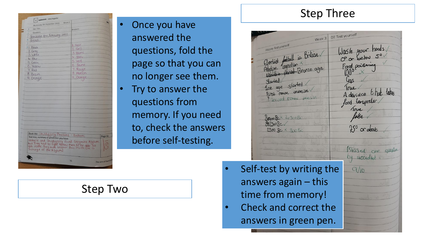| Quiz Title:<br>Answers<br>Questions<br>Translate the following into<br>French:<br>1. Noir<br>(1. Black<br>$2.$ Ciris<br>2. Grey<br>3. Blanc<br>3. White<br>4. Bleu<br>4. Blue<br>S. Vert<br>5. Green<br>6. Jaune<br>6. Yellow<br>7. Rouge<br>7. Red<br>8. Marron<br>8. Brown<br>9. Orange.<br>9. Orange.<br>Book title: Skulduggery Pleasant - Bedlam.<br>Page no.<br>Text map, summary or prediction you have:<br>vally fie and Skuduggery found Greymire Asylum.<br>but they had to fight hollow men to be able to<br>get inside. They met brother Boo inside (ne is<br>incharge of the Asylum).<br>The John of Gaunt Sch<br>16 | W optimistic - very hopeful<br>Week <sub>2</sub><br>Wednesday 9th September 2020 |  |
|-----------------------------------------------------------------------------------------------------------------------------------------------------------------------------------------------------------------------------------------------------------------------------------------------------------------------------------------------------------------------------------------------------------------------------------------------------------------------------------------------------------------------------------------------------------------------------------------------------------------------------------|----------------------------------------------------------------------------------|--|
|                                                                                                                                                                                                                                                                                                                                                                                                                                                                                                                                                                                                                                   |                                                                                  |  |
|                                                                                                                                                                                                                                                                                                                                                                                                                                                                                                                                                                                                                                   |                                                                                  |  |
|                                                                                                                                                                                                                                                                                                                                                                                                                                                                                                                                                                                                                                   |                                                                                  |  |
|                                                                                                                                                                                                                                                                                                                                                                                                                                                                                                                                                                                                                                   |                                                                                  |  |
|                                                                                                                                                                                                                                                                                                                                                                                                                                                                                                                                                                                                                                   |                                                                                  |  |
|                                                                                                                                                                                                                                                                                                                                                                                                                                                                                                                                                                                                                                   |                                                                                  |  |
|                                                                                                                                                                                                                                                                                                                                                                                                                                                                                                                                                                                                                                   |                                                                                  |  |
|                                                                                                                                                                                                                                                                                                                                                                                                                                                                                                                                                                                                                                   |                                                                                  |  |
|                                                                                                                                                                                                                                                                                                                                                                                                                                                                                                                                                                                                                                   |                                                                                  |  |
|                                                                                                                                                                                                                                                                                                                                                                                                                                                                                                                                                                                                                                   |                                                                                  |  |
|                                                                                                                                                                                                                                                                                                                                                                                                                                                                                                                                                                                                                                   |                                                                                  |  |
|                                                                                                                                                                                                                                                                                                                                                                                                                                                                                                                                                                                                                                   |                                                                                  |  |
|                                                                                                                                                                                                                                                                                                                                                                                                                                                                                                                                                                                                                                   |                                                                                  |  |
|                                                                                                                                                                                                                                                                                                                                                                                                                                                                                                                                                                                                                                   |                                                                                  |  |
|                                                                                                                                                                                                                                                                                                                                                                                                                                                                                                                                                                                                                                   |                                                                                  |  |
|                                                                                                                                                                                                                                                                                                                                                                                                                                                                                                                                                                                                                                   |                                                                                  |  |
|                                                                                                                                                                                                                                                                                                                                                                                                                                                                                                                                                                                                                                   |                                                                                  |  |
|                                                                                                                                                                                                                                                                                                                                                                                                                                                                                                                                                                                                                                   |                                                                                  |  |
|                                                                                                                                                                                                                                                                                                                                                                                                                                                                                                                                                                                                                                   |                                                                                  |  |
|                                                                                                                                                                                                                                                                                                                                                                                                                                                                                                                                                                                                                                   |                                                                                  |  |
|                                                                                                                                                                                                                                                                                                                                                                                                                                                                                                                                                                                                                                   |                                                                                  |  |
|                                                                                                                                                                                                                                                                                                                                                                                                                                                                                                                                                                                                                                   |                                                                                  |  |
|                                                                                                                                                                                                                                                                                                                                                                                                                                                                                                                                                                                                                                   |                                                                                  |  |
|                                                                                                                                                                                                                                                                                                                                                                                                                                                                                                                                                                                                                                   |                                                                                  |  |
|                                                                                                                                                                                                                                                                                                                                                                                                                                                                                                                                                                                                                                   |                                                                                  |  |
|                                                                                                                                                                                                                                                                                                                                                                                                                                                                                                                                                                                                                                   |                                                                                  |  |
|                                                                                                                                                                                                                                                                                                                                                                                                                                                                                                                                                                                                                                   |                                                                                  |  |
|                                                                                                                                                                                                                                                                                                                                                                                                                                                                                                                                                                                                                                   |                                                                                  |  |
|                                                                                                                                                                                                                                                                                                                                                                                                                                                                                                                                                                                                                                   |                                                                                  |  |
|                                                                                                                                                                                                                                                                                                                                                                                                                                                                                                                                                                                                                                   |                                                                                  |  |
|                                                                                                                                                                                                                                                                                                                                                                                                                                                                                                                                                                                                                                   |                                                                                  |  |
|                                                                                                                                                                                                                                                                                                                                                                                                                                                                                                                                                                                                                                   |                                                                                  |  |
|                                                                                                                                                                                                                                                                                                                                                                                                                                                                                                                                                                                                                                   |                                                                                  |  |
|                                                                                                                                                                                                                                                                                                                                                                                                                                                                                                                                                                                                                                   |                                                                                  |  |
|                                                                                                                                                                                                                                                                                                                                                                                                                                                                                                                                                                                                                                   |                                                                                  |  |
|                                                                                                                                                                                                                                                                                                                                                                                                                                                                                                                                                                                                                                   |                                                                                  |  |
|                                                                                                                                                                                                                                                                                                                                                                                                                                                                                                                                                                                                                                   |                                                                                  |  |
|                                                                                                                                                                                                                                                                                                                                                                                                                                                                                                                                                                                                                                   |                                                                                  |  |
|                                                                                                                                                                                                                                                                                                                                                                                                                                                                                                                                                                                                                                   |                                                                                  |  |
|                                                                                                                                                                                                                                                                                                                                                                                                                                                                                                                                                                                                                                   |                                                                                  |  |

- Once you have answered the questions, fold the page so that you can no longer see them.
- Try to answer the questions from memory. If you need to, check the answers before self-testing.

## Step Two

#### Step Three

DT Test yourself  $Week<sup>3</sup>$ Wash your honds Electrick football in Britian  $C<sup>o</sup>$  or below  $5<sup>o</sup>$ Elevinor ingradian berief Bronze age Started ded started First roman invesion A deviace that takes Servad roman mussic food tempreter 8000 Rx 2/300B 250 or about  $2300$   $\text{Rc} \times \text{800}$ Missed one question by accident  $q/10$ 

- Self-test by writing the answers again – this time from memory!
- Check and correct the answers in green pen.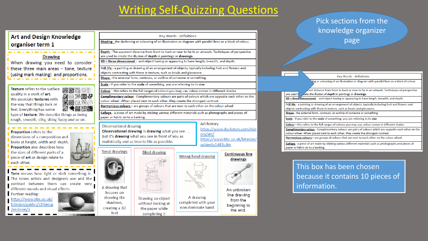## Writing Self-Quizzing Questions

#### **Art and Design Knowledge** organiser term 1

#### **Drawing**

the company's state of the

When drawing you need to consider these three main areas - tone, texture (using mark making) and proportions.

Texture refers to the surface **NEW** quality in a work of art. 26 黒く We associate textures with the way that things look or feel. Everything has some type of texture. We describe things as being rough, smooth, silky, shiny, fuzzy and so on.

Proportion refers to the dimensions of a composition and looks at height, width and depth. Proportion also describes how the sizes of different parts of a piece of art or design relate to each other.

Tone means how light or dark something is. The tones artists and designers use and the contrast between them can create very different moods and visual effects.

Further reading: https://www.bbc.co.uk/ bitesize/guides/z2thmsg /revision/1

| Key Words - definitions                                                                                      |                                                                                                                                                                                                            |                     |                                                     |  |
|--------------------------------------------------------------------------------------------------------------|------------------------------------------------------------------------------------------------------------------------------------------------------------------------------------------------------------|---------------------|-----------------------------------------------------|--|
| Shading - the darkening or colouring of an illustration or diagram with parallel lines or a block of colour. |                                                                                                                                                                                                            |                     |                                                     |  |
|                                                                                                              | Depth - The apparent distance from front to back or near to far in an artwork. Techniques of perspective<br>are used to create the illusion of depth in paintings or drawings.                             |                     |                                                     |  |
|                                                                                                              | 3D - three dimensional - and object having or appearing to have length, breadth, and depth.                                                                                                                |                     |                                                     |  |
|                                                                                                              | Still life - a painting or drawing of an arrangement of objects, typically including fruit and flowers and                                                                                                 |                     |                                                     |  |
|                                                                                                              | objects contrasting with these in texture, such as bowls and glassware.                                                                                                                                    |                     |                                                     |  |
|                                                                                                              | Shape - the external form, contours, or outline of someone or something.                                                                                                                                   |                     |                                                     |  |
|                                                                                                              | Scale - If you refer to the scale of something, you are referring to its size                                                                                                                              |                     |                                                     |  |
|                                                                                                              | Colour - this refers to the full ranges of colours you may use, colour comes in different shades<br>Complimentary colour - Complementary colours are pairs of colours which are opposite each other on the |                     |                                                     |  |
|                                                                                                              | colour wheel -When placed next to each other, they create the strongest contrast                                                                                                                           |                     |                                                     |  |
|                                                                                                              | Harmonious colours - are groups of colours that are next to each other on the colour wheel                                                                                                                 |                     |                                                     |  |
| paper or fabric on to a backing.                                                                             | Collage - a piece of art made by sticking various different materials such as photographs and pieces of                                                                                                    |                     |                                                     |  |
|                                                                                                              |                                                                                                                                                                                                            | Art history         |                                                     |  |
| <b>Observational drawing</b>                                                                                 | Observational drawing is drawing what you see.                                                                                                                                                             |                     | https://www.ducksters.com/hist                      |  |
|                                                                                                              | But it's drawing what you see in front of you as                                                                                                                                                           | ory/art/            |                                                     |  |
|                                                                                                              | realistically and as true to life as possible.                                                                                                                                                             |                     | https://www.bbc.co.uk/bitesize/<br>subjects/z6f3cdm |  |
| <b>Tonal drawings</b>                                                                                        | <b>Blind drawing</b>                                                                                                                                                                                       |                     |                                                     |  |
|                                                                                                              |                                                                                                                                                                                                            | Wrong hand drawing  | <b>Continuous line</b>                              |  |
|                                                                                                              |                                                                                                                                                                                                            |                     |                                                     |  |
|                                                                                                              |                                                                                                                                                                                                            |                     | drawings                                            |  |
|                                                                                                              |                                                                                                                                                                                                            |                     |                                                     |  |
|                                                                                                              |                                                                                                                                                                                                            |                     |                                                     |  |
|                                                                                                              |                                                                                                                                                                                                            | 5615508             |                                                     |  |
| A drawing that                                                                                               |                                                                                                                                                                                                            |                     | An unbroken                                         |  |
| focuses on<br>showing the                                                                                    |                                                                                                                                                                                                            | A drawing           | line drawing                                        |  |
| shadows,                                                                                                     | Drawing an object<br>without looking at                                                                                                                                                                    | completed with your | from the                                            |  |
| creating a 3D<br>feel                                                                                        | the paper while<br>completing it                                                                                                                                                                           | non dominate hand   | beginning to<br>the end.                            |  |

| PICK SECUONS ITOM UTE                                                                                                                       |
|---------------------------------------------------------------------------------------------------------------------------------------------|
| knowledge organizer                                                                                                                         |
| page                                                                                                                                        |
|                                                                                                                                             |
|                                                                                                                                             |
|                                                                                                                                             |
|                                                                                                                                             |
| Key Words - definitions                                                                                                                     |
| ing or colouring of an illustration or diagram with parallel lines or a block of colour.                                                    |
| ent distance from front to back or near to far in an artwork. Techniques of perspective                                                     |
| are used to<br>eate the illusion of depth in paintings or drawings.                                                                         |
| 3D - three dimensional - and object having or appearing to have length, breadth, and depth.                                                 |
| Still life - a painting or drawing of an arrangement of objects, typically including fruit and flowers and                                  |
| objects contrasting with these in texture, such as bowls and glassware.                                                                     |
| Shape - the external form, contours, or outline of someone or something.                                                                    |
| Scale - If you refer to the scale of something, you are referring to its size                                                               |
| Colour - this refers to the full ranges of colours you may use, colour comes in different shades                                            |
| Complimentary colour - Complementary colours are pairs of colours which are opposite each other on the                                      |
| colour wheel -When placed next to each other, they create the strongest contrast                                                            |
| Harmonious colours - are groups of colours that are next to each other on the colour wheel                                                  |
| Collage - a piece of art made by sticking various different materials such as photographs and pieces of<br>paper or fabric on to a backing. |

Pick sections from the

This box has been chosen because it contains 10 pieces of information.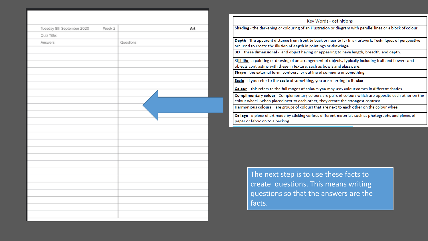| Tuesday 8th September 2020 | Week 2 |           | Art |
|----------------------------|--------|-----------|-----|
| Quiz Title:                |        |           |     |
| Answers                    |        | Questions |     |
|                            |        |           |     |
|                            |        |           |     |
|                            |        |           |     |
|                            |        |           |     |
|                            |        |           |     |
|                            |        |           |     |
|                            |        |           |     |
|                            |        |           |     |
|                            |        |           |     |
|                            |        |           |     |
|                            |        |           |     |
|                            |        |           |     |
|                            |        |           |     |
|                            |        |           |     |
|                            |        |           |     |
|                            |        |           |     |
|                            |        |           |     |
|                            |        |           |     |
|                            |        |           |     |
|                            |        |           |     |
|                            |        |           |     |
|                            |        |           |     |
|                            |        |           |     |
|                            |        |           |     |
|                            |        |           |     |
|                            |        |           |     |

| Key Words - definitions                                                                                                                     |
|---------------------------------------------------------------------------------------------------------------------------------------------|
| Shading - the darkening or colouring of an illustration or diagram with parallel lines or a block of colour.                                |
|                                                                                                                                             |
| Depth - The apparent distance from front to back or near to far in an artwork. Techniques of perspective                                    |
| are used to create the illusion of depth in paintings or drawings.                                                                          |
| 3D – three dimensional - and object having or appearing to have length, breadth, and depth.                                                 |
| Still life - a painting or drawing of an arrangement of objects, typically including fruit and flowers and                                  |
| objects contrasting with these in texture, such as bowls and glassware.                                                                     |
| Shape - the external form, contours, or outline of someone or something.                                                                    |
| Scale - If you refer to the scale of something, you are referring to its size                                                               |
| Colour - this refers to the full ranges of colours you may use, colour comes in different shades                                            |
| Complimentary colour - Complementary colours are pairs of colours which are opposite each other on the                                      |
| colour wheel -When placed next to each other, they create the strongest contrast                                                            |
| Harmonious colours - are groups of colours that are next to each other on the colour wheel                                                  |
| Collage - a piece of art made by sticking various different materials such as photographs and pieces of<br>paper or fabric on to a backing. |

The next step is to use these facts to create questions. This means writing questions so that the answers are the facts.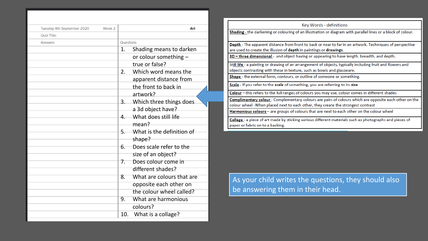| Tuesday 8th September 2020<br>Quiz Title: | Week 2 |           | Art                          |
|-------------------------------------------|--------|-----------|------------------------------|
|                                           |        | Questions |                              |
| Answers                                   |        | 1.        |                              |
|                                           |        |           | Shading means to darken      |
|                                           |        |           | or colour something -        |
|                                           |        |           | true or false?               |
|                                           |        | 2.        | Which word means the         |
|                                           |        |           | apparent distance from       |
|                                           |        |           | the front to back in         |
|                                           |        |           | artwork?                     |
|                                           |        | 3.        | Which three things does.     |
|                                           |        |           | a 3d object have?            |
|                                           |        |           | 4. What does still life      |
|                                           |        |           | mean?                        |
|                                           |        |           | 5. What is the definition of |
|                                           |        |           | shape?                       |
|                                           |        |           | 6. Does scale refer to the   |
|                                           |        |           | size of an object?           |
|                                           |        | 7.        | Does colour come in          |
|                                           |        |           | different shades?            |
|                                           |        | 8.        | What are colours that are    |
|                                           |        |           | opposite each other on       |
|                                           |        |           | the colour wheel called?     |
|                                           |        |           |                              |
|                                           |        | 9.        | What are harmonious          |
|                                           |        |           | colours?                     |
|                                           |        | 10.       | What is a collage?           |

| Key Words - definitions                                                                                                                     |
|---------------------------------------------------------------------------------------------------------------------------------------------|
| Shading - the darkening or colouring of an illustration or diagram with parallel lines or a block of colour.                                |
|                                                                                                                                             |
| Depth - The apparent distance from front to back or near to far in an artwork. Techniques of perspective                                    |
| are used to create the illusion of depth in paintings or drawings.                                                                          |
| 3D - three dimensional - and object having or appearing to have length, breadth, and depth.                                                 |
| Still life - a painting or drawing of an arrangement of objects, typically including fruit and flowers and                                  |
| objects contrasting with these in texture, such as bowls and glassware.                                                                     |
| Shape - the external form, contours, or outline of someone or something.                                                                    |
| Scale - If you refer to the scale of something, you are referring to its size                                                               |
| Colour - this refers to the full ranges of colours you may use, colour comes in different shades                                            |
| Complimentary colour - Complementary colours are pairs of colours which are opposite each other on the                                      |
| colour wheel -When placed next to each other, they create the strongest contrast                                                            |
| Harmonious colours - are groups of colours that are next to each other on the colour wheel                                                  |
| Collage - a piece of art made by sticking various different materials such as photographs and pieces of<br>paper or fabric on to a backing. |

As your child writes the questions, they should also be answering them in their head.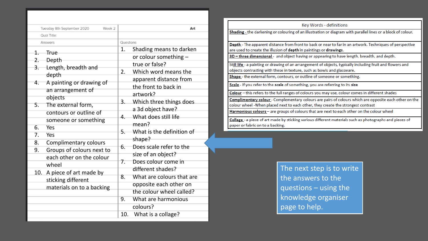|                  | Tuesday 8th September 2020<br>Week 2         |           | Art                       |  |
|------------------|----------------------------------------------|-----------|---------------------------|--|
|                  | Quiz Title:                                  |           |                           |  |
|                  | Answers                                      | Questions |                           |  |
| 1.               | True                                         | 1.        | Shading means to darken   |  |
| 2.               | Depth                                        |           | or colour something -     |  |
|                  | Length, breadth and                          |           | true or false?            |  |
|                  | depth                                        | 2.        | Which word means the      |  |
| 4.               | A painting or drawing of                     |           | apparent distance from    |  |
|                  |                                              |           | the front to back in      |  |
|                  | an arrangement of                            |           | artwork?                  |  |
|                  | objects                                      | 3.        | Which three things does.  |  |
| 5.               | The external form,<br>contours or outline of |           | a 3d object have?         |  |
|                  |                                              | 4.        | What does still life      |  |
|                  | someone or something                         |           | mean?                     |  |
| 6.               | Yes                                          | 5.        | What is the definition of |  |
| $\overline{7}$ . | Yes                                          |           | shape?                    |  |
| 8.               | <b>Complimentary colours</b>                 | 6.        | Does scale refer to the   |  |
| 9.               | Groups of colours next to                    |           | size of an object?        |  |
|                  | each other on the colour                     | 7.        | Does colour come in       |  |
|                  | wheel                                        |           | different shades?         |  |
| 10.              | A piece of art made by                       | 8.        | What are colours that are |  |
|                  | sticking different                           |           | opposite each other on    |  |
|                  | materials on to a backing                    |           | the colour wheel called?  |  |
|                  |                                              | 9.        | What are harmonious       |  |
|                  |                                              |           | colours?                  |  |
|                  |                                              | 10.       | What is a collage?        |  |
|                  |                                              |           |                           |  |

| Key Words - definitions                                                                                                                     |
|---------------------------------------------------------------------------------------------------------------------------------------------|
| Shading - the darkening or colouring of an illustration or diagram with parallel lines or a block of colour.                                |
|                                                                                                                                             |
| Depth - The apparent distance from front to back or near to far in an artwork. Techniques of perspective                                    |
| are used to create the illusion of depth in paintings or drawings.                                                                          |
| 3D - three dimensional - and object having or appearing to have length, breadth, and depth.                                                 |
| Still life - a painting or drawing of an arrangement of objects, typically including fruit and flowers and                                  |
| objects contrasting with these in texture, such as bowls and glassware.                                                                     |
| Shape - the external form, contours, or outline of someone or something.                                                                    |
| Scale - If you refer to the scale of something, you are referring to its size                                                               |
| Colour - this refers to the full ranges of colours you may use, colour comes in different shades                                            |
| Complimentary colour - Complementary colours are pairs of colours which are opposite each other on the                                      |
| colour wheel -When placed next to each other, they create the strongest contrast                                                            |
| Harmonious colours - are groups of colours that are next to each other on the colour wheel                                                  |
| Collage - a piece of art made by sticking various different materials such as photographs and pieces of<br>paper or fabric on to a backing. |

The next step is to write the answers to the questions – using the knowledge organiser page to help.